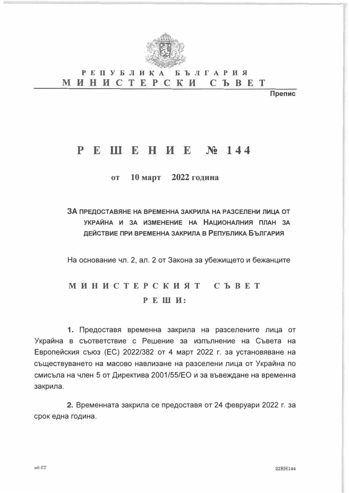

#### **РЕПУБЛИКА БЪЛГАРИЯ МИНИСТЕРСКИ C b B E T**

Препис

## **PE III E H II E Nº 144**

10 март 2022 година  $\mathbf{0}$ 

ЗА ПРЕДОСТАВЯНЕ НА ВРЕМЕННА ЗАКРИЛА НА РАЗСЕЛЕНИ ЛИЦА ОТ УКРАЙНА И ЗА ИЗМЕНЕНИЕ НА НАЦИОНАЛНИЯ ПЛАН ЗА ДЕЙСТВИЕ ПРИ ВРЕМЕННА ЗАКРИЛА В РЕПУБЛИКА БЪЛГАРИЯ

На основание чл. 2, ал. 2 от Закона за убежището и бежанците

# МИНИСТЕРСКИЯТ СЪВЕТ РЕШИ:

1. Предоставя временна закрила на разселените лица от Украйна в съответствие с Решение за изпълнение на Съвета на Европейския съюз (ЕС) 2022/382 от 4 март 2022 г. за установяване на съществуването на масово навлизане на разселени лица от Украйна по смисъла на член 5 от Директива 2001/55/ЕО и за въвеждане на временна закрила.

2. Временната закрила се предоставя от 24 февруари 2022 г. за срок една година.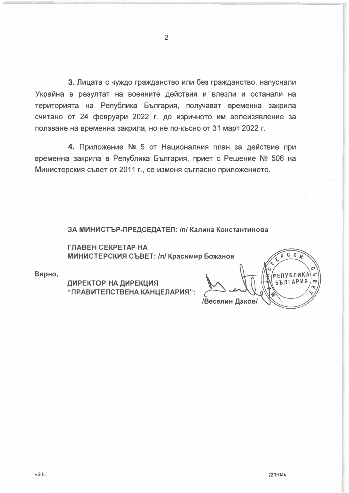3. Лицата с чуждо гражданство или без гражданство, напуснали Украйна в резултат на военните действия и влезли и останали на територията на Република България, получават временна закрила считано от 24 февруари 2022 г. до изричното им волеизявление за ползване на временна закрила, но не по-късно от 31 март 2022 г.

4. Приложение № 5 от Националния план за действие при временна закрила в Република България, приет с Решение № 506 на Министерския съвет от 2011 г., се изменя съгласно приложението.

ЗА МИНИСТЪР-ПРЕДСЕДАТЕЛ: /п/ Калина Константинова

ГЛАВЕН СЕКРЕТАР НА МИНИСТЕРСКИЯ СЪВЕТ: /п/ Красимир Божанов

Вярно,

ДИРЕКТОР НА ДИРЕКЦИЯ "ПРАВИТЕЛСТВЕНА КАНЦЕЛАРИЯ":

C.  $\boldsymbol{K}$ **РЕПУБЛИКА БЪЛГАРИЯ** Веселин Даков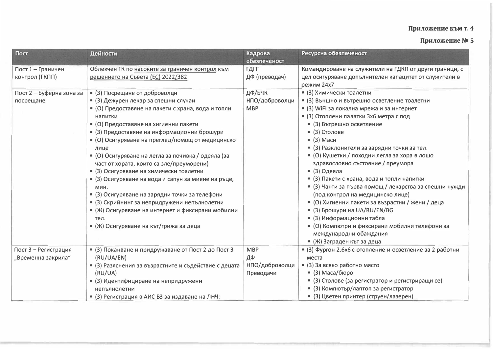### Приложение към т. 4

### Приложение № 5

| Пост                     | Дейности                                              | Кадрова<br>обезпеченост | Ресурсна обезпеченост                                    |
|--------------------------|-------------------------------------------------------|-------------------------|----------------------------------------------------------|
| Пост 1 - Граничен        | Облекчен ГК по насоките за граничен контрол към       | ГДГП                    | Командироване на служители на ГДКП от други граници, с   |
| контрол (ГКПП)           | решението на Съвета (EC) 2022/382                     | ДФ (преводач)           | цел осигуряване допълнителен капацитет от служители в    |
|                          |                                                       |                         | режим 24х7                                               |
| Пост 2 - Буферна зона за | • (3) Посрещане от доброволци                         | ДФ/БЧК                  | • (3) Химически тоалетни                                 |
| посрещане                | • (3) Дежурен лекар за спешни случаи                  | НПО/доброволци          | • (3) Външно и вътрешно осветление тоалетни              |
|                          | • (О) Предоставяне на пакети с храна, вода и топли    | <b>MBP</b>              | • (3) WiFi за локална мрежа и за интернет                |
|                          | напитки                                               |                         | • (3) Отоплени палатки 3х6 метра с под                   |
|                          | • (О) Предоставяне на хигиенни пакети                 |                         | • (3) Вътрешно осветление                                |
|                          | • (3) Предоставяне на информационни брошури           |                         | $(3)$ Столове                                            |
|                          | • (О) Осигуряване на преглед/помощ от медицинско      |                         | $(3)$ Маси                                               |
|                          | лице                                                  |                         | • (3) Разклонители за зарядни точки за тел.              |
|                          | • (О) Осигуряване на легла за почивка / одеяла (за    |                         | • (О) Кушетки / походни легла за хора в лошо             |
|                          | част от хората, които са зле/преуморени)              |                         | здравословно състояние / преумора                        |
|                          | • (3) Осигуряване на химически тоалетни               |                         | $(3)$ Одеяла                                             |
|                          | • (3) Осигуряване на вода и сапун за миене на ръце,   |                         | • (3) Пакети с храна, вода и топли напитки               |
|                          | МИН.                                                  |                         | • (3) Чанти за първа помощ / лекарства за спешни нужди   |
|                          | • (3) Осигуряване на зарядни точки за телефони        |                         | (под контрол на медицинско лице)                         |
|                          | • (3) Скрийнинг за непридружени непълнолетни          |                         | • (О) Хигиенни пакети за възрастни / жени / деца         |
|                          | • (Ж) Осигуряване на интернет и фиксирани мобилни     |                         | $=$ (3) Брошури на UA/RU/EN/BG                           |
|                          | тел.                                                  |                         | • (3) Информационни табла                                |
|                          | • (Ж) Осигуряване на кът/грижа за деца                |                         | • (О) Компютри и фиксирани мобилни телефони за           |
|                          |                                                       |                         | международни обаждания                                   |
|                          |                                                       |                         | • (Ж) Заграден кът за деца                               |
| Пост 3 - Регистрация     | • (3) Поканване и придружаване от Пост 2 до Пост 3    | <b>MBP</b>              | • (3) Фургон 2.6х6 с отопление и осветление за 2 работни |
| "Временна закрила"       | (RU/UA/EN)                                            | ДФ                      | места                                                    |
|                          | • (3) Разяснения за възрастните и съдействие с децата | НПО/доброволци          | $(3)$ За всяко работно място                             |
|                          | (RU/UA)                                               | Преводачи               | $(3) Maca/6$ юро                                         |
|                          | • (3) Идентифициране на непридружени                  |                         | • (3) Столове (за регистратор и регистриращи се)         |
|                          | непълнолетни                                          |                         | • (3) Компютър/лаптоп за регистратор                     |
|                          | • (3) Регистрация в АИС ВЗ за издаване на ЛНЧ:        |                         | • (3) Цветен принтер (струен/лазерен)                    |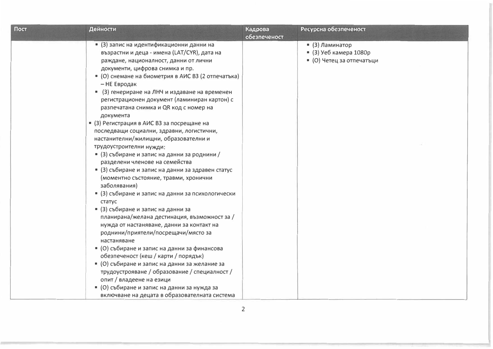| Пост | Дейности                                                                                                                                                                                                                                                                                                                                                                                                                                                                                                                                                                                                                                                                                                                                                                                                                                                                                                                                                                                                                                                                                                                                                                                                            | Кадрова<br>обезпеченост | Ресурсна обезпеченост                                                  |
|------|---------------------------------------------------------------------------------------------------------------------------------------------------------------------------------------------------------------------------------------------------------------------------------------------------------------------------------------------------------------------------------------------------------------------------------------------------------------------------------------------------------------------------------------------------------------------------------------------------------------------------------------------------------------------------------------------------------------------------------------------------------------------------------------------------------------------------------------------------------------------------------------------------------------------------------------------------------------------------------------------------------------------------------------------------------------------------------------------------------------------------------------------------------------------------------------------------------------------|-------------------------|------------------------------------------------------------------------|
|      | • (3) запис на идентификационни данни на<br>възрастни и деца - имена (LAT/CYR), дата на<br>раждане, националност, данни от лични<br>документи, цифрова снимка и пр.<br>• (О) снемане на биометрия в АИС ВЗ (2 отпечатька)<br>– НЕ Евродак<br>• (3) генериране на ЛНЧ и издаване на временен<br>регистрационен документ (ламиниран картон) с<br>разпечатана снимка и QR код с номер на<br>документа<br>• (3) Регистрация в АИС ВЗ за посрещане на<br>последващи социални, здравни, логистични,<br>настанителни/жилищни, образователни и<br>трудоустроителни нужди:<br>• (3) събиране и запис на данни за роднини /<br>разделени членове на семейства<br>■ (3) събиране и запис на данни за здравен статус<br>(моментно състояние, травми, хронични<br>заболявания)<br>• (3) събиране и запис на данни за психологически<br>статус<br>• (3) събиране и запис на данни за<br>планирана/желана дестинация, възможност за /<br>нужда от настаняване, данни за контакт на<br>роднини/приятели/посрещачи/място за<br>настаняване<br>• (О) събиране и запис на данни за финансова<br>обезпеченост (кеш / карти / порядък)<br>■ (О) събиране и запис на данни за желание за<br>трудоустрояване / образование / специалност / |                         | • (3) Ламинатор<br>• (3) Уеб камера 1080р<br>• (О) Четец за отпечатъци |
|      | опит / владеене на езици<br>■ (О) събиране и запис на данни за нужда за<br>включване на децата в образователната система                                                                                                                                                                                                                                                                                                                                                                                                                                                                                                                                                                                                                                                                                                                                                                                                                                                                                                                                                                                                                                                                                            |                         |                                                                        |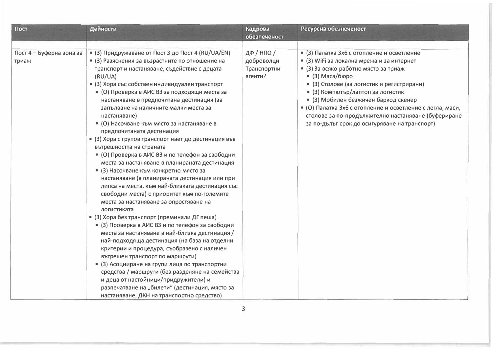| Пост                              | Дейности                                                                                                                                                                                                                                                                                                                                                                                                                                                                                                                                                                                                                                                                                                                                                                                                                                                                                                                                                                                                                                                                                                                                                                                                                                                                                                                                                                                                                             | Кадрова<br>обезпеченост                            | Ресурсна обезпеченост                                                                                                                                                                                                                                                                                                                                                                                                                                |
|-----------------------------------|--------------------------------------------------------------------------------------------------------------------------------------------------------------------------------------------------------------------------------------------------------------------------------------------------------------------------------------------------------------------------------------------------------------------------------------------------------------------------------------------------------------------------------------------------------------------------------------------------------------------------------------------------------------------------------------------------------------------------------------------------------------------------------------------------------------------------------------------------------------------------------------------------------------------------------------------------------------------------------------------------------------------------------------------------------------------------------------------------------------------------------------------------------------------------------------------------------------------------------------------------------------------------------------------------------------------------------------------------------------------------------------------------------------------------------------|----------------------------------------------------|------------------------------------------------------------------------------------------------------------------------------------------------------------------------------------------------------------------------------------------------------------------------------------------------------------------------------------------------------------------------------------------------------------------------------------------------------|
|                                   |                                                                                                                                                                                                                                                                                                                                                                                                                                                                                                                                                                                                                                                                                                                                                                                                                                                                                                                                                                                                                                                                                                                                                                                                                                                                                                                                                                                                                                      |                                                    |                                                                                                                                                                                                                                                                                                                                                                                                                                                      |
| Пост 4 - Буферна зона за<br>триаж | • (3) Придружаване от Пост 3 до Пост 4 (RU/UA/EN)<br>• (3) Разяснения за възрастните по отношение на<br>транспорт и настаняване, съдействие с децата<br>(RU/UA)<br>• (3) Хора със собствен индивидуален транспорт<br>• (О) Проверка в АИС ВЗ за подходящи места за<br>настаняване в предпочитана дестинация (за<br>запълване на наличните малки места за<br>настаняване)<br>• (О) Насочване към място за настаняване в<br>предпочитаната дестинация<br>• (3) Хора с групов транспорт нает до дестинация във<br>вътрешността на страната<br>• (О) Проверка в АИС ВЗ и по телефон за свободни<br>места за настаняване в планираната дестинация<br>• (3) Насочване към конкретно място за<br>настаняване (в планираната дестинация или при<br>липса на места, към най-близката дестинация със<br>свободни места) с приоритет към по-големите<br>места за настаняване за опростяване на<br>логистиката<br>• (3) Хора без транспорт (преминали ДГ пеша)<br>■ (3) Проверка в АИС ВЗ и по телефон за свободни<br>места за настаняване в най-близка дестинация /<br>най-подходяща дестинация (на база на отделни<br>критерии и процедура, съобразено с наличен<br>вътрешен транспорт по маршрути)<br>• (3) Асоцииране на групи лица по транспортни<br>средства / маршрути (без разделяне на семейства<br>и деца от настойници/придружители) и<br>разпечатване на "билети" (дестинация, място за<br>настаняване, ДКН на транспортно средство) | ДФ / НПО /<br>доброволци<br>Транспортни<br>агенти? | • (3) Палатка 3х6 с отопление и осветление<br>• (3) WiFi за локална мрежа и за интернет<br>• (3) За всяко работно място за триаж<br>$(3) Maca/6$ юро<br>• (3) Столове (за логистик и регистрирани)<br>• (3) Компютър/лаптоп за логистик<br>• (3) Мобилен безжичен баркод скенер<br>• (О) Палатка 3х6 с отопление и осветление с легла, маси,<br>столове за по-продължително настаняване (буфериране<br>за по-дълъг срок до осигуряване на транспорт) |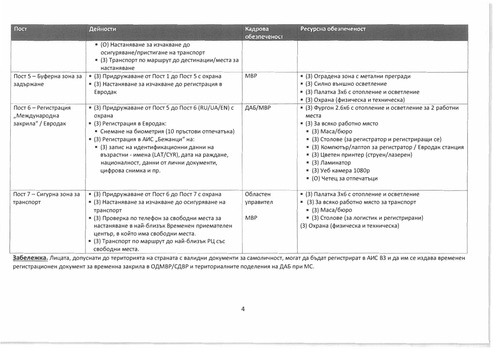| Пост                                                        | Дейности                                                                                                                                                                                                                                                                                                                                                  | Кадрова<br>обезпеченост             | Ресурсна обезпеченост                                                                                                                                                                                                                                                                                                                                  |
|-------------------------------------------------------------|-----------------------------------------------------------------------------------------------------------------------------------------------------------------------------------------------------------------------------------------------------------------------------------------------------------------------------------------------------------|-------------------------------------|--------------------------------------------------------------------------------------------------------------------------------------------------------------------------------------------------------------------------------------------------------------------------------------------------------------------------------------------------------|
|                                                             | • (О) Настаняване за изчакване до<br>осигуряване/пристигане на транспорт<br>• (3) Транспорт по маршрут до дестинации/места за<br>настаняване                                                                                                                                                                                                              |                                     |                                                                                                                                                                                                                                                                                                                                                        |
| Пост 5 - Буферна зона за<br>задържане                       | • (3) Придружаване от Пост 1 до Пост 5 с охрана<br>• (3) Настаняване за изчакване до регистрация в<br>Евродак                                                                                                                                                                                                                                             | <b>MBP</b>                          | • (3) Оградена зона с метални прегради<br>• (3) Силно външно осветление<br>• (3) Палатка 3х6 с отопление и осветление<br>• (3) Охрана (физическа и техническа)                                                                                                                                                                                         |
| Пост 6 - Регистрация<br>"Международна<br>закрила" / Евродак | • (3) Придружаване от Пост 5 до Пост 6 (RU/UA/EN) с<br>охрана<br>• (3) Регистрация в Евродак:<br>• Снемане на биометрия (10 пръстови отпечатъка)<br>• (3) Регистрация в АИС "Бежанци" на:<br>• (3) запис на идентификационни данни на<br>възрастни - имена (LAT/CYR), дата на раждане,<br>националност, данни от лични документи,<br>цифрова снимка и пр. | ДАБ/МВР                             | • (3) Фургон 2.6х6 с отопление и осветление за 2 работни<br>места<br>• (3) За всяко работно място<br>$(3) Maca/6$ юро<br>• (3) Столове (за регистратор и регистриращи се)<br>• (3) Компютър/лаптоп за регистратор / Евродак станция<br>• (3) Цветен принтер (струен/лазерен)<br>$(3)$ Ламинатор<br>$(3)$ Уеб камера 1080р<br>• (О) Четец за отпечатъци |
| Пост 7 - Сигурна зона за<br>транспорт                       | • (3) Придружаване от Пост 6 до Пост 7 с охрана<br>• (3) Настаняване за изчакване до осигуряване на<br>транспорт<br>• (3) Проверка по телефон за свободни места за<br>настаняване в най-близък Временен приемателен<br>център, в който има свободни места.<br>• (3) Транспорт по маршрут до най-близък РЦ със<br>свободни места.                          | Областен<br>управител<br><b>MBP</b> | • (3) Палатка 3х6 с отопление и осветление<br>• (3) За всяко работно място за транспорт<br>$(3) Maca/6$ юро<br>• (3) Столове (за логистик и регистрирани)<br>(3) Охрана (физическа и техническа)                                                                                                                                                       |

Забележка. Лицата, допуснати до територията на страната с валидни документи за самоличност, могат да бъдат регистрират в АИС ВЗ и да им се издава временен регистрационен документ за временна закрила в ОДМВР/СДВР и териториалните поделения на ДАБ при МС.